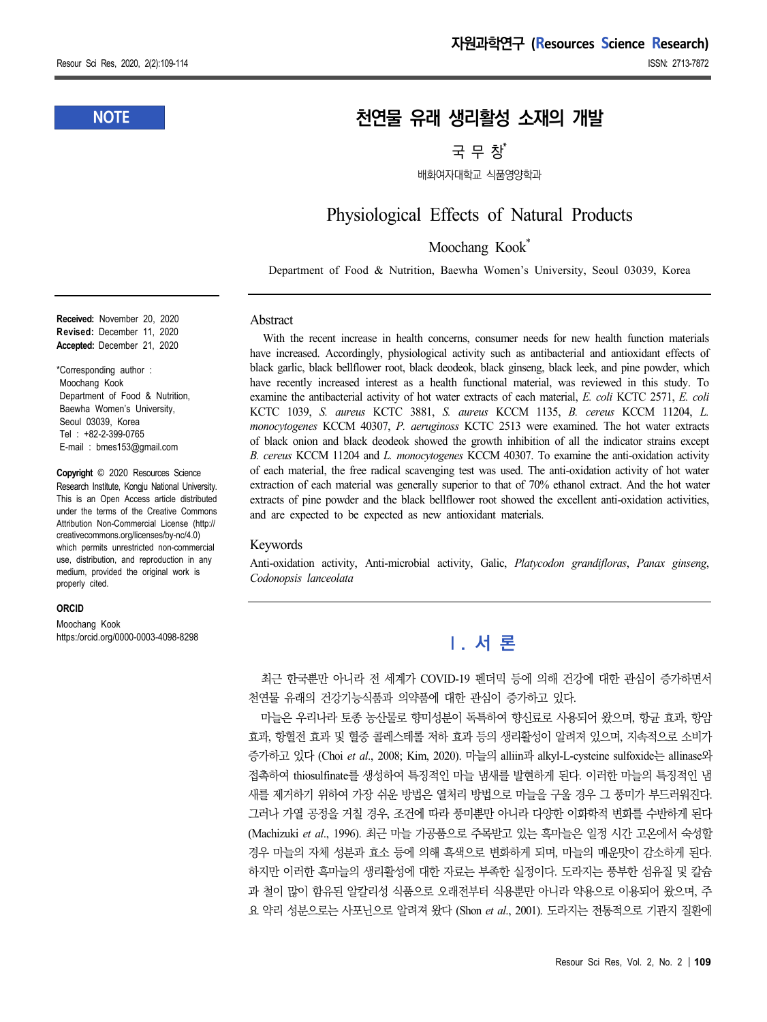### **NOTE**

# **천연물 유래 생리활성 소재의 개발**

국 무 창 \*

배화여자대학교 식품영양학과

## Physiological Effects of Natural Products

Moochang Kook\*

Department of Food & Nutrition, Baewha Women's University, Seoul 03039, Korea

#### Abstract

With the recent increase in health concerns, consumer needs for new health function materials have increased. Accordingly, physiological activity such as antibacterial and antioxidant effects of black garlic, black bellflower root, black deodeok, black ginseng, black leek, and pine powder, which have recently increased interest as a health functional material, was reviewed in this study. To examine the antibacterial activity of hot water extracts of each material, *E. coli* KCTC 2571, *E. coli*  KCTC 1039, *S. aureus* KCTC 3881, *S. aureus* KCCM 1135, *B. cereus* KCCM 11204, *L. monocytogenes* KCCM 40307, *P. aeruginoss* KCTC 2513 were examined. The hot water extracts of black onion and black deodeok showed the growth inhibition of all the indicator strains except *B. cereus* KCCM 11204 and *L. monocytogenes* KCCM 40307. To examine the anti-oxidation activity of each material, the free radical scavenging test was used. The anti-oxidation activity of hot water extraction of each material was generally superior to that of 70% ethanol extract. And the hot water extracts of pine powder and the black bellflower root showed the excellent anti-oxidation activities, and are expected to be expected as new antioxidant materials.

#### Keywords

Anti-oxidation activity, Anti-microbial activity, Galic, *Platycodon grandifloras*, *Panax ginseng*, *Codonopsis lanceolata*

# **Ⅰ. 서 론**

최근 한국뿐만 아니라 전 세계가 COVID-19 펜더믹 등에 의해 건강에 대한 관심이 증가하면서 천연물 유래의 건강기능식품과 의약품에 대한 관심이 증가하고 있다.

마늘은 우리나라 토종 농산물로 향미성분이 독특하여 향신료로 사용되어 왔으며, 항균 효과, 항암 효과, 항혈전 효과 및 혈중 콜레스테롤 저하 효과 등의 생리활성이 알려져 있으며, 지속적으로 소비가 증가하고 있다 (Choi *et al*., 2008; Kim, 2020). 마늘의 alliin과 alkyl-L-cysteine sulfoxide는 allinase와 접촉하여 thiosulfinate를 생성하여 특징적인 마늘 냄새를 발현하게 된다. 이러한 마늘의 특징적인 냄 새를 제거하기 위하여 가장 쉬운 방법은 열처리 방법으로 마늘을 구울 경우 그 풍미가 부드러워진다. 그러나 가열 공정을 거칠 경우, 조건에 따라 풍미뿐만 아니라 다양한 이화학적 변화를 수반하게 된다 (Machizuki *et al*., 1996). 최근 마늘 가공품으로 주목받고 있는 흑마늘은 일정 시간 고온에서 숙성할 경우 마늘의 자체 성분과 효소 등에 의해 흑색으로 변화하게 되며, 마늘의 매운맛이 감소하게 된다. 하지만 이러한 흑마늘의 생리활성에 대한 자료는 부족한 실정이다. 도라지는 풍부한 섬유질 및 칼슘 과 철이 많이 함유된 알칼리성 식품으로 오래전부터 식용뿐만 아니라 약용으로 이용되어 왔으며, 주 요 약리 성분으로는 사포닌으로 알려져 왔다 (Shon *et al*., 2001). 도라지는 전통적으로 기관지 질환에

**Received:** November 20, 2020 **Revised:** December 11, 2020 **Accepted:** December 21, 2020

\*Corresponding author : Moochang Kook Department of Food & Nutrition, Baewha Women's University, Seoul 03039, Korea Tel : +82-2-399-0765 E-mail : bmes153@gmail.com

**Copyright** © 2020 Resources Science Research Institute, Kongju National University. This is an Open Access article distributed under the terms of the Creative Commons Attribution Non-Commercial License (http:// creativecommons.org/licenses/by-nc/4.0) which permits unrestricted non-commercial use, distribution, and reproduction in any medium, provided the original work is properly cited.

#### **ORCID**

Moochang Kook https:/orcid.org/0000-0003-4098-8298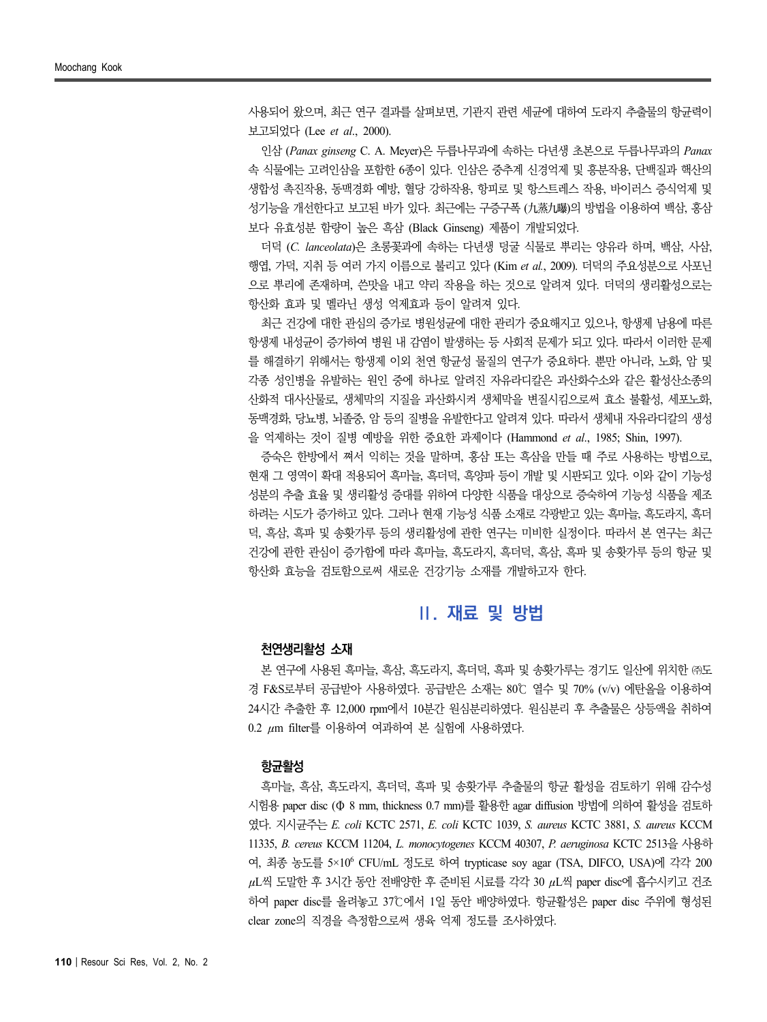사용되어 왔으며, 최근 연구 결과를 살펴보면, 기관지 관련 세균에 대하여 도라지 추출물의 항균력이 보고되었다 (Lee *et al*., 2000).

인삼 (*Panax ginseng* C. A. Meyer)은 두릅나무과에 속하는 다년생 초본으로 두릅나무과의 *Panax* 속 식물에는 고려인삼을 포함한 6종이 있다. 인삼은 중추계 신경억제 및 흥분작용, 단백질과 핵산의 생합성 촉진작용, 동맥경화 예방, 혈당 강하작용, 항피로 및 항스트레스 작용, 바이러스 증식억제 및 성기능을 개선한다고 보고된 바가 있다. 최근에는 구증구폭 (九蒸九曝)의 방법을 이용하여 백삼, 홍삼 보다 유효성분 함량이 높은 흑삼 (Black Ginseng) 제품이 개발되었다.

더덕 (*C. lanceolata*)은 초롱꽃과에 속하는 다년생 덩굴 식물로 뿌리는 양유라 하며, 백삼, 사삼, 행엽, 가덕, 지취 등 여러 가지 이름으로 불리고 있다 (Kim *et al.*, 2009). 더덕의 주요성분으로 사포닌 으로 뿌리에 존재하며, 쓴맛을 내고 약리 작용을 하는 것으로 알려져 있다. 더덕의 생리활성으로는 항산화 효과 및 멜라닌 생성 억제효과 등이 알려져 있다.

최근 건강에 대한 관심의 증가로 병원성균에 대한 관리가 중요해지고 있으나, 항생제 남용에 따른 항생제 내성균이 증가하여 병원 내 감염이 발생하는 등 사회적 문제가 되고 있다. 따라서 이러한 문제 를 해결하기 위해서는 항생제 이외 천연 항균성 물질의 연구가 중요하다. 뿐만 아니라, 노화, 암 및 각종 성인병을 유발하는 원인 중에 하나로 알려진 자유라디칼은 과산화수소와 같은 활성산소종의 산화적 대사산물로, 생체막의 지질을 과산화시켜 생체막을 변질시킴으로써 효소 불활성, 세포노화, 동맥경화, 당뇨병, 뇌졸중, 암 등의 질병을 유발한다고 알려져 있다. 따라서 생체내 자유라디칼의 생성 을 억제하는 것이 질병 예방을 위한 중요한 과제이다 (Hammond *et al*., 1985; Shin, 1997).

증숙은 한방에서 쪄서 익히는 것을 말하며, 홍삼 또는 흑삼을 만들 때 주로 사용하는 방법으로, 현재 그 영역이 확대 적용되어 흑마늘, 흑더덕, 흑양파 등이 개발 및 시판되고 있다. 이와 같이 기능성 성분의 추출 효율 및 생리활성 증대를 위하여 다양한 식품을 대상으로 증숙하여 기능성 식품을 제조 하려는 시도가 증가하고 있다. 그러나 현재 기능성 식품 소재로 각광받고 있는 흑마늘, 흑도라지, 흑더 덕, 흑삼, 흑파 및 송홧가루 등의 생리활성에 관한 연구는 미비한 실정이다. 따라서 본 연구는 최근 건강에 관한 관심이 증가함에 따라 흑마늘, 흑도라지, 흑더덕, 흑삼, 흑파 및 송홧가루 등의 항균 및 항산화 효능을 검토함으로써 새로운 건강기능 소재를 개발하고자 한다.

## **Ⅱ. 재료 및 방법**

#### **천연생리활성 소재**

본 연구에 사용된 흑마늘, 흑삼, 흑도라지, 흑더덕, 흑파 및 송홧가루는 경기도 일산에 위치한 ㈜도 경 F&S로부터 공급받아 사용하였다. 공급받은 소재는 80℃ 열수 및 70% (v/v) 에탄올을 이용하여 24시간 추출한 후 12,000 rpm에서 10분간 원심분리하였다. 원심분리 후 추출물은 상등액을 취하여 0.2 μm filter를 이용하여 여과하여 본 실험에 사용하였다.

#### **항균활성**

흑마늘, 흑삼, 흑도라지, 흑더덕, 흑파 및 송홧가루 추출물의 항균 활성을 검토하기 위해 감수성 시험용 paper disc (Ф 8 mm, thickness 0.7 mm)를 활용한 agar diffusion 방법에 의하여 활성을 검토하 였다. 지시균주는 *E. coli* KCTC 2571, *E. coli* KCTC 1039, *S. aureus* KCTC 3881, *S. aureus* KCCM 11335, *B. cereus* KCCM 11204, *L. monocytogenes* KCCM 40307, *P. aeruginosa* KCTC 2513을 사용하 여, 최종 농도를 5×10<sup>6</sup> CFU/mL 정도로 하여 trypticase soy agar (TSA, DIFCO, USA)에 각각 200 μL씩 도말한 후 3시간 동안 전배양한 후 준비된 시료를 각각 30 μL씩 paper disc에 흡수시키고 건조 하여 paper disc를 올려놓고 37℃에서 1일 동안 배양하였다. 항균활성은 paper disc 주위에 형성된 clear zone의 직경을 측정함으로써 생육 억제 정도를 조사하였다.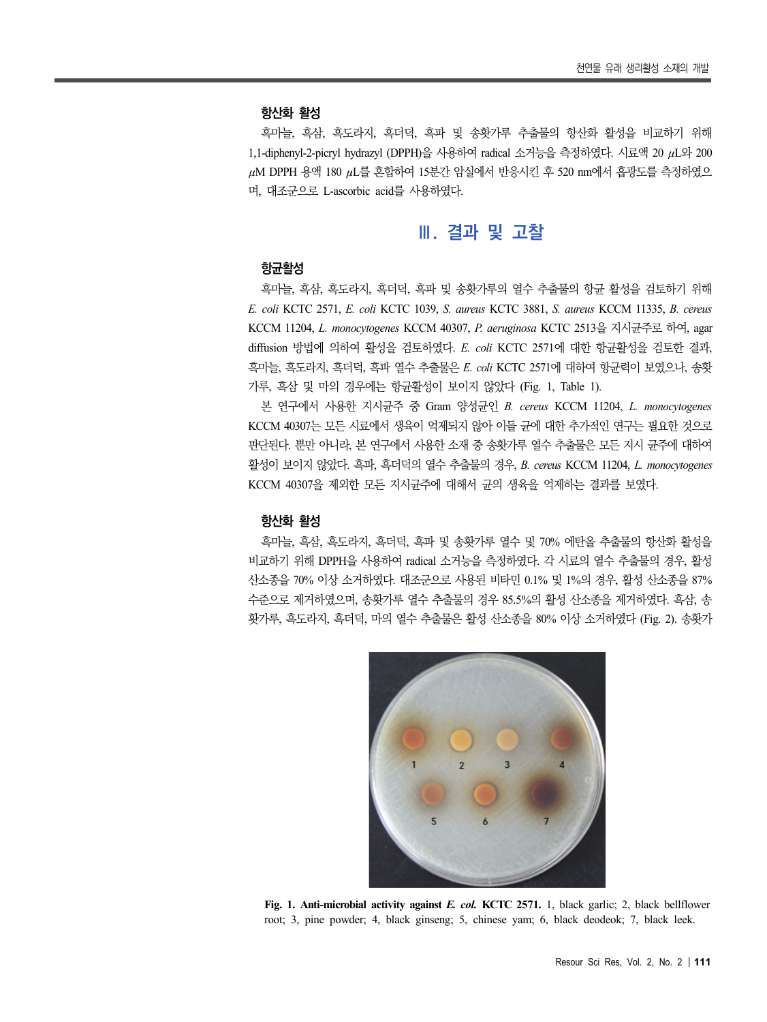#### **항산화 활성**

흑마늘, 흑삼, 흑도라지, 흑더덕, 흑파 및 송홧가루 추출물의 항산화 활성을 비교하기 위해 1,1-diphenyl-2-picryl hydrazyl (DPPH)을 사용하여 radical 소거능을 측정하였다. 시료액 20 μL와 200 μM DPPH 용액 180 μL를 혼합하여 15분간 암실에서 반응시킨 후 520 nm에서 흡광도를 측정하였으 며, 대조군으로 L-ascorbic acid를 사용하였다.

## **Ⅲ. 결과 및 고찰**

#### **항균활성**

흑마늘, 흑삼, 흑도라지, 흑더덕, 흑파 및 송홧가루의 열수 추출물의 항균 활성을 검토하기 위해 *E. coli* KCTC 2571, *E. coli* KCTC 1039, *S. aureus* KCTC 3881, *S. aureus* KCCM 11335, *B. cereus* KCCM 11204, *L. monocytogenes* KCCM 40307, *P. aeruginosa* KCTC 2513을 지시균주로 하여, agar diffusion 방법에 의하여 활성을 검토하였다. *E. coli* KCTC 2571에 대한 항균활성을 검토한 결과, 흑마늘, 흑도라지, 흑더덕, 흑파 열수 추출물은 *E. coli* KCTC 2571에 대하여 항균력이 보였으나, 송홧 가루, 흑삼 및 마의 경우에는 항균활성이 보이지 않았다 (Fig. 1, Table 1).

본 연구에서 사용한 지시균주 중 Gram 양성균인 *B. cereus* KCCM 11204, *L. monocytogenes* KCCM 40307는 모든 시료에서 생육이 억제되지 않아 이들 균에 대한 추가적인 연구는 필요한 것으로 판단된다. 뿐만 아니라, 본 연구에서 사용한 소재 중 송홧가루 열수 추출물은 모든 지시 균주에 대하여 활성이 보이지 않았다. 흑파, 흑더덕의 열수 추출물의 경우, *B. cereus* KCCM 11204, *L. monocytogenes* KCCM 40307을 제외한 모든 지시균주에 대해서 균의 생육을 억제하는 결과를 보였다.

#### **항산화 활성**

흑마늘, 흑삼, 흑도라지, 흑더덕, 흑파 및 송홧가루 열수 및 70% 에탄올 추출물의 항산화 활성을 비교하기 위해 DPPH을 사용하여 radical 소거능을 측정하였다. 각 시료의 열수 추출물의 경우, 활성 산소종을 70% 이상 소거하였다. 대조군으로 사용된 비타민 0.1% 및 1%의 경우, 활성 산소종을 87% 수준으로 제거하였으며, 송홧가루 열수 추출물의 경우 85.5%의 활성 산소종을 제거하였다. 흑삼, 송 홧가루, 흑도라지, 흑더덕, 마의 열수 추출물은 활성 산소<del>종을</del> 80% 이상 소거하였다 (Fig. 2). 송홧가



**Fig. 1. Anti-microbial activity against** *E. col.* **KCTC 2571.** 1, black garlic; 2, black bellflower root; 3, pine powder; 4, black ginseng; 5, chinese yam; 6, black deodeok; 7, black leek.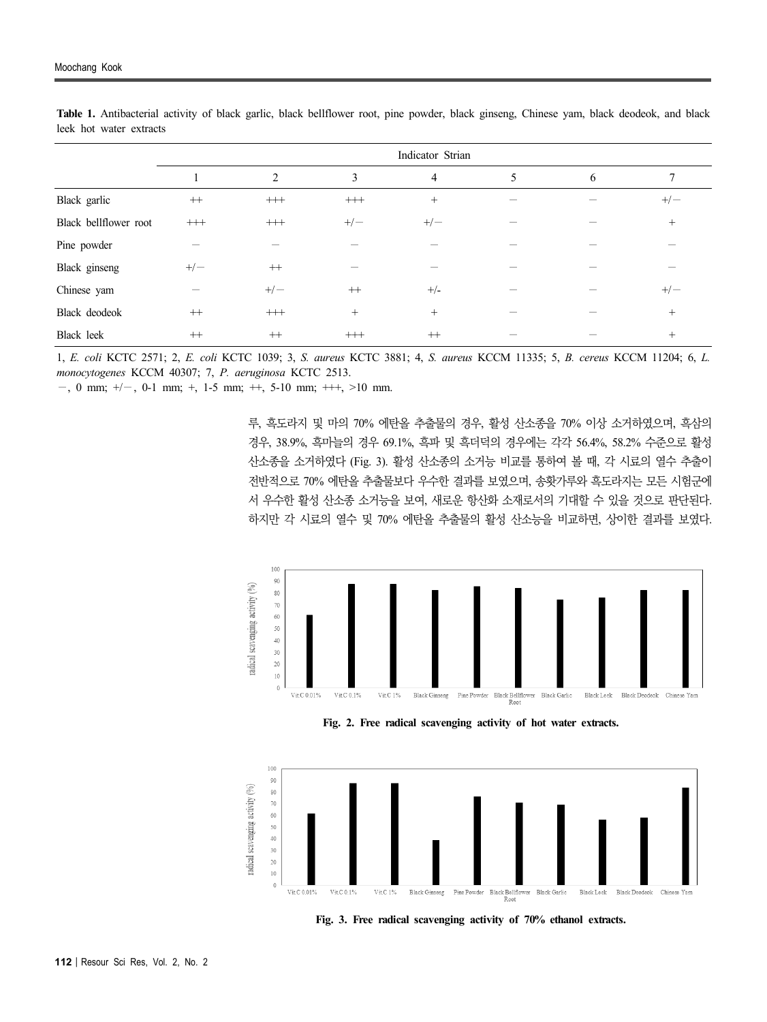|                       | Indicator Strian         |                          |                   |         |                                 |   |               |
|-----------------------|--------------------------|--------------------------|-------------------|---------|---------------------------------|---|---------------|
|                       |                          | 2                        | 3                 | 4       | 5                               | 6 | $\mathcal{I}$ |
| Black garlic          | $^{++}$                  | $\pmb{++}$               | $\pmb{++}\pmb{+}$ | $+$     |                                 |   | $+/-$         |
| Black bellflower root | $^{+++}$                 | $\pmb{++}$               | $+/-$             | $+/-$   | $\overline{\phantom{a}}$        |   | $+$           |
| Pine powder           |                          | $\overline{\phantom{0}}$ |                   |         |                                 |   | –             |
| Black ginseng         | $+/-$                    | $++$                     |                   |         |                                 |   |               |
| Chinese yam           | $\overline{\phantom{a}}$ | $+/-$                    | $^{++}$           | $+/-$   |                                 |   | $+/-$         |
| Black deodeok         | $^{++}$                  | $\pmb{++}$               | $^{+}$            | $+$     | $\overbrace{\qquad \qquad }^{}$ |   | $+$           |
| Black leek            | $^{++}$                  | $++$                     | $^{+++}$          | $^{++}$ |                                 |   | $+$           |

**Table 1.** Antibacterial activity of black garlic, black bellflower root, pine powder, black ginseng, Chinese yam, black deodeok, and black leek hot water extracts

1, *E. coli* KCTC 2571; 2, *E. coli* KCTC 1039; 3, *S. aureus* KCTC 3881; 4, *S. aureus* KCCM 11335; 5, *B. cereus* KCCM 11204; 6, *L. monocytogenes* KCCM 40307; 7, *P. aeruginosa* KCTC 2513.

 $-$ , 0 mm;  $+/-$ , 0-1 mm;  $+$ , 1-5 mm;  $++$ , 5-10 mm;  $++$ , >10 mm.

루, 흑도라지 및 마의 70% 에탄올 추출물의 경우, 활성 산소종을 70% 이상 소거하였으며, 흑삼의 경우, 38.9%, 흑마늘의 경우 69.1%, 흑파 및 흑더덕의 경우에는 각각 56.4%, 58.2% 수준으로 활성 산소종을 소거하였다 (Fig. 3). 활성 산소종의 소거능 비교를 통하여 볼 때, 각 시료의 열수 추출이 전반적으로 70% 에탄올 추출물보다 우수한 결과를 보였으며, 송홧가루와 흑도라지는 모든 시험군에 서 우수한 활성 산소종 소거능을 보여, 새로운 항산화 소재로서의 기대할 수 있을 것으로 판단된다. 하지만 각 시료의 열수 및 70% 에탄올 추출물의 활성 산소능을 비교하면, 상이한 결과를 보였다.



**Fig. 2. Free radical scavenging activity of hot water extracts.**



**Fig. 3. Free radical scavenging activity of 70% ethanol extracts.**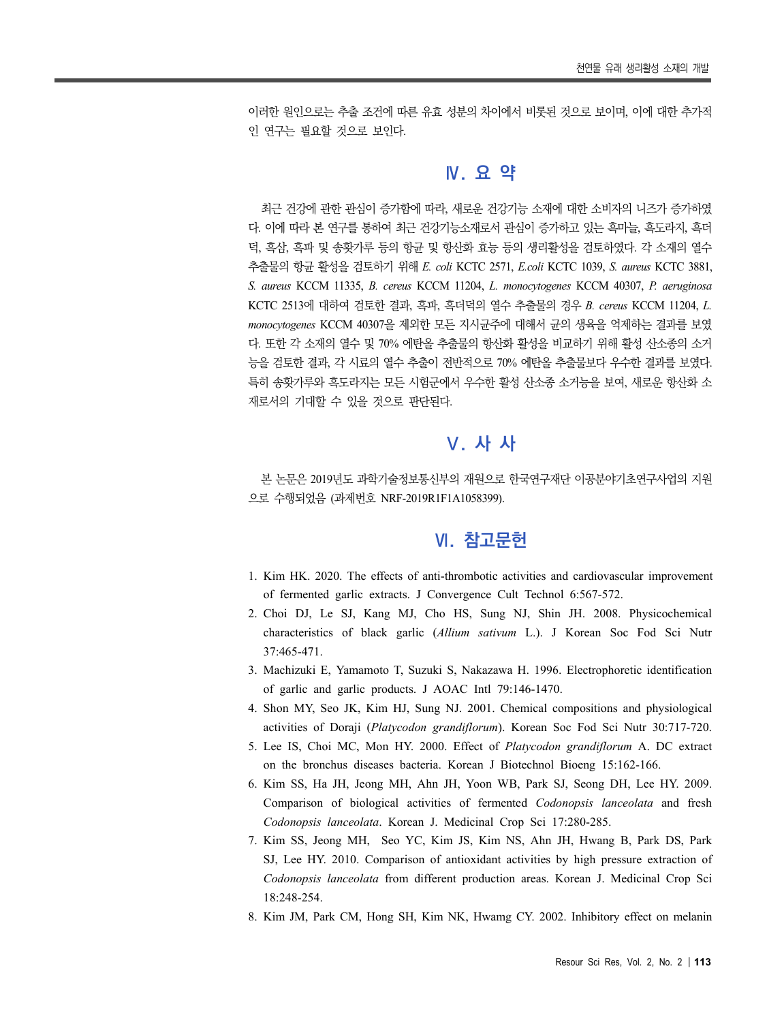이러한 원인으로는 추출 조건에 따른 유효 성분의 차이에서 비롯된 것으로 보이며, 이에 대한 추가적 인 연구는 필요할 것으로 보인다.

### **Ⅳ. 요 약**

최근 건강에 관한 관심이 증가함에 따라, 새로운 건강기능 소재에 대한 소비자의 니즈가 증가하였 다. 이에 따라 본 연구를 통하여 최근 건강기능소재로서 관심이 증가하고 있는 흑마늘, 흑도라지, 흑더 덕, 흑삼, 흑파 및 송홧가루 등의 항균 및 항산화 효능 등의 생리활성을 검토하였다. 각 소재의 열수 추출물의 항균 활성을 검토하기 위해 *E. coli* KCTC 2571, *E.coli* KCTC 1039, *S. aureus* KCTC 3881, *S. aureus* KCCM 11335, *B. cereus* KCCM 11204, *L. monocytogenes* KCCM 40307, *P. aeruginosa* KCTC 2513에 대하여 검토한 결과, 흑파, 흑더덕의 열수 추출물의 경우 *B. cereus* KCCM 11204, *L. monocytogenes* KCCM 40307을 제외한 모든 지시균주에 대해서 균의 생육을 억제하는 결과를 보였 다. 또한 각 소재의 열수 및 70% 에탄올 추출물의 항산화 활성을 비교하기 위해 활성 산소종의 소거 능을 검토한 결과, 각 시료의 열수 추출이 전반적으로 70% 에탄올 추출물보다 우수한 결과를 보였다. 특히 송홧가루와 흑도라지는 모든 시험군에서 우수한 활성 산소종 소거능을 보여, 새로운 항산화 소 재로서의 기대할 수 있을 것으로 판단된다.

# **Ⅴ. 사 사**

본 논문은 2019년도 과학기술정보통신부의 재원으로 한국연구재단 이공분야기초연구사업의 지원 으로 수행되었음 (과제번호 NRF-2019R1F1A1058399).

## **Ⅵ. 참고문헌**

- 1. Kim HK. 2020. The effects of anti-thrombotic activities and cardiovascular improvement of fermented garlic extracts. J Convergence Cult Technol 6:567-572.
- 2. Choi DJ, Le SJ, Kang MJ, Cho HS, Sung NJ, Shin JH. 2008. Physicochemical characteristics of black garlic (*Allium sativum* L.). J Korean Soc Fod Sci Nutr 37:465-471.
- 3. Machizuki E, Yamamoto T, Suzuki S, Nakazawa H. 1996. Electrophoretic identification of garlic and garlic products. J AOAC Intl 79:146-1470.
- 4. Shon MY, Seo JK, Kim HJ, Sung NJ. 2001. Chemical compositions and physiological activities of Doraji (*Platycodon grandiflorum*). Korean Soc Fod Sci Nutr 30:717-720.
- 5. Lee IS, Choi MC, Mon HY. 2000. Effect of *Platycodon grandiflorum* A. DC extract on the bronchus diseases bacteria. Korean J Biotechnol Bioeng 15:162-166.
- 6. Kim SS, Ha JH, Jeong MH, Ahn JH, Yoon WB, Park SJ, Seong DH, Lee HY. 2009. Comparison of biological activities of fermented *Codonopsis lanceolata* and fresh *Codonopsis lanceolata*. Korean J. Medicinal Crop Sci 17:280-285.
- 7. Kim SS, Jeong MH, Seo YC, Kim JS, Kim NS, Ahn JH, Hwang B, Park DS, Park SJ, Lee HY. 2010. Comparison of antioxidant activities by high pressure extraction of *Codonopsis lanceolata* from different production areas. Korean J. Medicinal Crop Sci 18:248-254.
- 8. Kim JM, Park CM, Hong SH, Kim NK, Hwamg CY. 2002. Inhibitory effect on melanin